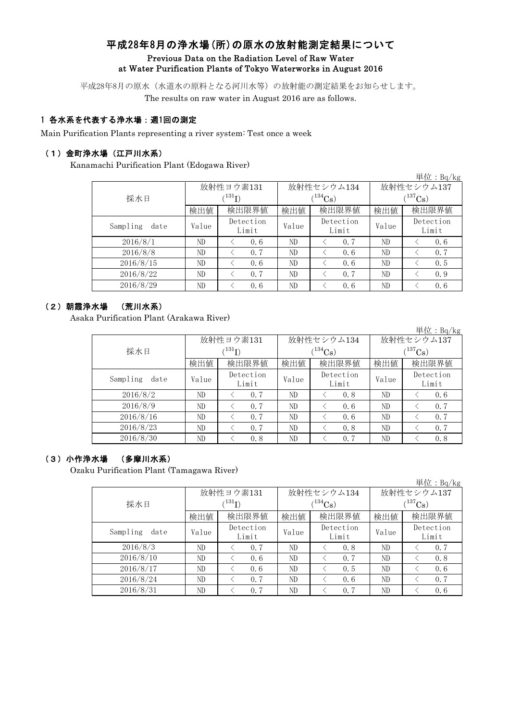# 平成28年8月の浄水場(所)の原水の放射能測定結果について Previous Data on the Radiation Level of Raw Water at Water Purification Plants of Tokyo Waterworks in August 2016

平成28年8月の原水(水道水の原料となる河川水等)の放射能の測定結果をお知らせします。

The results on raw water in August 2016 are as follows.

### 1 各水系を代表する浄水場:週1回の測定

Main Purification Plants representing a river system: Test once a week

#### (1)金町浄水場(江戸川水系)

Kanamachi Purification Plant (Edogawa River)

|                  |       |                      |       |                    |              | 単位: $Bq/kg$        |  |
|------------------|-------|----------------------|-------|--------------------|--------------|--------------------|--|
|                  |       | 放射性ヨウ素131            |       | 放射性セシウム134         | 放射性セシウム137   |                    |  |
| 採水日              |       | $(^{131}\mathrm{I})$ |       | $(^{134}Cs)$       | $(^{137}Cs)$ |                    |  |
|                  | 検出値   | 検出限界値                | 検出値   | 検出限界値              | 検出値          | 検出限界値              |  |
| Sampling<br>date | Value | Detection<br>Limit   | Value | Detection<br>Limit | Value        | Detection<br>Limit |  |
| 2016/8/1         | ND    | 0.6                  | ND    | 0.7                | ND           | 0.6                |  |
| 2016/8/8         | ND    | 0.7                  | ND    | 0.6                | ND           | 0.7                |  |
| 2016/8/15        | ND    | 0.6                  | ND    | 0.6                | ND           | 0.5                |  |
| 2016/8/22        | ND    | 0.7                  | ND    | 0.7                | ND           | 0.9                |  |
| 2016/8/29        | ND    | 0.6                  | ND    | 0.6                | ND           | 0.6                |  |

## (2)朝霞浄水場 (荒川水系)

Asaka Purification Plant (Arakawa River)

|                  |       |                            |       |                    |              | 単位: $Bq/kg$        |  |  |
|------------------|-------|----------------------------|-------|--------------------|--------------|--------------------|--|--|
|                  |       | 放射性ヨウ素131                  |       | 放射性セシウム134         | 放射性セシウム137   |                    |  |  |
| 採水日              |       | $^{\prime131} \mathrm{I})$ |       | $(134)$ Cs         | $(^{137}Cs)$ |                    |  |  |
|                  | 検出値   | 検出限界値                      | 検出値   | 検出限界値              | 検出値          | 検出限界値              |  |  |
| Sampling<br>date | Value | Detection<br>Limit         | Value | Detection<br>Limit | Value        | Detection<br>Limit |  |  |
| 2016/8/2         | ND    | 0.7                        | ND    | 0.8                | ND           | 0.6                |  |  |
| 2016/8/9         | ND.   | 0.7                        | ND    | 0.6                | ND           | 0.7                |  |  |
| 2016/8/16        | ND    | 0.7                        | ND    | 0.6                | ND           | 0.7                |  |  |
| 2016/8/23        | ND.   | 0.7                        | ND    | 0.8                | ND           | 0.7                |  |  |
| 2016/8/30        | ND    | 0.8                        | ND    | 0.7                | ND           | 0.8                |  |  |

### (3)小作浄水場 (多摩川水系)

Ozaku Purification Plant (Tamagawa River)

|                  |       |                          |       |                    |              | 単位: $Bq/kg$        |  |  |
|------------------|-------|--------------------------|-------|--------------------|--------------|--------------------|--|--|
|                  |       | 放射性ヨウ素131                |       | 放射性セシウム134         | 放射性セシウム137   |                    |  |  |
| 採水日              |       | $^{\prime\,131}{\rm I})$ |       | $(^{134}Cs)$       | $(^{137}Cs)$ |                    |  |  |
|                  | 検出値   | 検出限界値                    | 検出値   | 検出限界値              | 検出値          | 検出限界値              |  |  |
| Sampling<br>date | Value | Detection<br>Limit       | Value | Detection<br>Limit | Value        | Detection<br>Limit |  |  |
| 2016/8/3         | ND.   | 0.7                      | ND    | 0.8                | ND           | 0.7                |  |  |
| 2016/8/10        | ND    | 0.6                      | ND    | 0.7                | ND           | 0.8                |  |  |
| 2016/8/17        | ND.   | 0.6                      | ND    | 0.5                | ND           | 0.6                |  |  |
| 2016/8/24        | ND    | 0.7                      | ND    | 0.6                | ND           | 0.7                |  |  |
| 2016/8/31        | ND    | 0.7                      | ND    | 0.7                | ND           | 0.6                |  |  |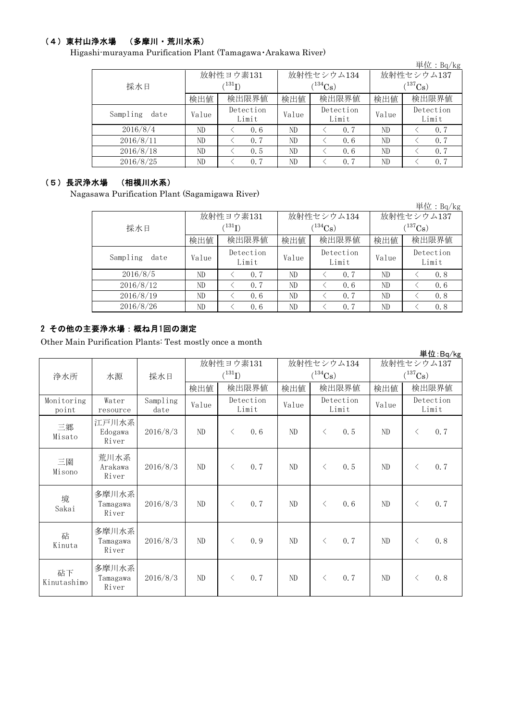## (4)東村山浄水場 (多摩川・荒川水系)

Higashi-murayama Purification Plant (Tamagawa・Arakawa River)

|                  |       |                            |       |                    |              | 単位: $Bq/kg$        |  |
|------------------|-------|----------------------------|-------|--------------------|--------------|--------------------|--|
|                  |       | 放射性ヨウ素131                  |       | 放射性セシウム134         | 放射性セシウム137   |                    |  |
| 採水日              |       | $^{\prime131} \mathrm{I})$ |       | $(^{134}Cs)$       | $(^{137}Cs)$ |                    |  |
|                  | 検出値   | 検出限界値                      |       | 検出限界値              | 検出値          | 検出限界値              |  |
| Sampling<br>date | Value | Detection<br>Limit         | Value | Detection<br>Limit | Value        | Detection<br>Limit |  |
| 2016/8/4         | ND    | 0.6                        | ND    | 0.7                | ND           | 0.7                |  |
| 2016/8/11        | ND    | 0.7                        | ND    | 0.6                | ND           | 0.7                |  |
| 2016/8/18        | ND    | 0.5                        | ND    | 0.6                | ND           | 0.7                |  |
| 2016/8/25        | ND    | 0.7                        | ND    | 0.7                | ND           | 0.7                |  |

## (5)長沢浄水場 (相模川水系)

Nagasawa Purification Plant (Sagamigawa River)

|                  |       |                            |       |                    |             | 単位: $Bq/kg$        |  |  |
|------------------|-------|----------------------------|-------|--------------------|-------------|--------------------|--|--|
|                  |       | 放射性ヨウ素131                  |       | 放射性セシウム134         | 放射性セシウム137  |                    |  |  |
| 採水日              |       | $^{\prime131} \mathrm{I})$ |       | $1^{134}Cs$ )      | $(137)$ Cs) |                    |  |  |
|                  | 検出値   | 検出限界値                      | 検出値   | 検出限界値              | 検出値         | 検出限界値              |  |  |
| Sampling<br>date | Value | Detection<br>Limit         | Value | Detection<br>Limit | Value       | Detection<br>Limit |  |  |
| 2016/8/5         | ND    | 0.7                        | ND    | 0.7                | ND          | 0.8                |  |  |
| 2016/8/12        | ND    | 0.7                        | ND    | 0.6                | ND          | 0.6                |  |  |
| 2016/8/19        | ND    | 0.6                        | ND    | 0.7                | ND          | 0.8                |  |  |
| 2016/8/26        | ND    | 0.6                        | ND    | 0.7                | ND          | 0.8                |  |  |

## 2 その他の主要浄水場:概ね月1回の測定

Other Main Purification Plants: Test mostly once a month

|                     |                            |                  |                |             |                    |            |                             |      |              |           | 単位:Bq/kg           |
|---------------------|----------------------------|------------------|----------------|-------------|--------------------|------------|-----------------------------|------|--------------|-----------|--------------------|
|                     |                            |                  | 放射性ヨウ素131      |             |                    | 放射性セシウム134 |                             |      | 放射性セシウム137   |           |                    |
| 浄水所                 | 水源                         | 採水日              |                | $(^{131}I)$ |                    |            | $(^{134}Cs)$                |      | $(^{137}Cs)$ |           |                    |
|                     |                            |                  | 検出値            | 検出限界値       |                    | 検出値        | 検出限界値                       |      | 検出値          |           | 検出限界値              |
| Monitoring<br>point | Water<br>resource          | Sampling<br>date | Value          |             | Detection<br>Limit |            | Detection<br>Value<br>Limit |      | Value        |           | Detection<br>Limit |
| 三郷<br>Misato        | 江戸川水系<br>Edogawa<br>River  | 2016/8/3         | ND             | $\langle$   | 0.6                | ND         | $\lt$                       | 0.5  | ND           | $\lt$     | 0.7                |
| 三園<br>Misono        | 荒川水系<br>Arakawa<br>River   | 2016/8/3         | ND             | $\langle$   | 0, 7               | ND         | $\langle$                   | 0.5  | ND.          | $\lt$     | 0.7                |
| 境<br>Sakai          | 多摩川水系<br>Tamagawa<br>River | 2016/8/3         | N <sub>D</sub> | $\langle$   | 0, 7               | ND         | $\langle$                   | 0.6  | ND           | $\langle$ | 0.7                |
| 砧<br>Kinuta         | 多摩川水系<br>Tamagawa<br>River | 2016/8/3         | ND             | $\lt$       | 0.9                | ND         | $\lt$                       | 0.7  | ND           | $\langle$ | 0.8                |
| 砧下<br>Kinutashimo   | 多摩川水系<br>Tamagawa<br>River | 2016/8/3         | ND.            | $\lt$       | 0.7                | ND         | $\lt$                       | 0, 7 | ND           | $\langle$ | 0.8                |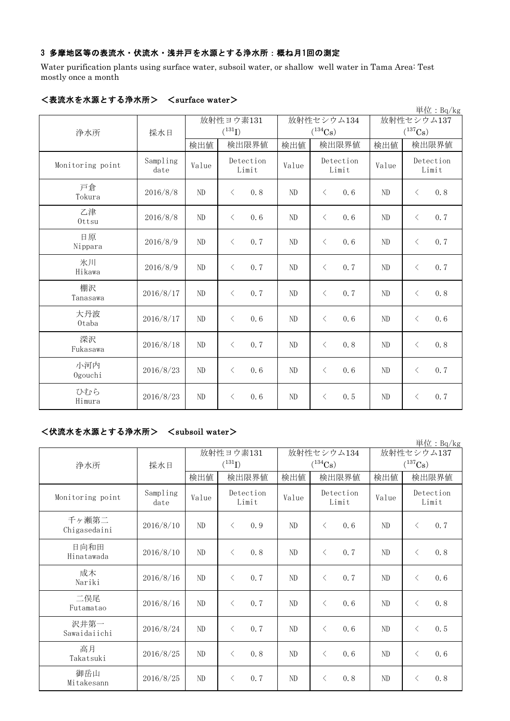## 3 多摩地区等の表流水・伏流水・浅井戸を水源とする浄水所:概ね月1回の測定

Water purification plants using surface water, subsoil water, or shallow well water in Tama Area: Test mostly once a month

|                  |                  |           |                    |                             |                       |                       | 単位: Bq/kg                           |  |
|------------------|------------------|-----------|--------------------|-----------------------------|-----------------------|-----------------------|-------------------------------------|--|
|                  |                  | 放射性ヨウ素131 |                    |                             | 放射性セシウム134            | 放射性セシウム137            |                                     |  |
| 浄水所              | 採水日              |           | $(^{131}I)$        |                             | $(^{134}\mathrm{Cs})$ | $(^{137}\mathrm{Cs})$ |                                     |  |
|                  |                  | 検出値       | 検出限界値              | 検出値                         | 検出限界値                 | 検出値                   | 検出限界値                               |  |
| Monitoring point | Sampling<br>date | Value     | Detection<br>Limit | Detection<br>Value<br>Limit |                       | Value                 | Detection<br>Limit                  |  |
| 戸倉<br>Tokura     | 2016/8/8         | ND        | 0.8<br>$\lt$       | ND                          | 0.6<br>$\langle$      | ND                    | 0.8<br>$\left\langle \right\rangle$ |  |
| 乙津<br>Ottsu      | 2016/8/8         | ND        | 0.6<br>$\lt$       | ND                          | $\langle$<br>0, 6     | ND                    | 0.7<br>$\left\langle \right\rangle$ |  |
| 日原<br>Nippara    | 2016/8/9         | ND        | 0.7<br>$\lt$       | ND                          | $\langle$<br>0, 6     | ND                    | 0.7<br>$\left\langle \right\rangle$ |  |
| 氷川<br>Hikawa     | 2016/8/9         | ND        | 0.7<br>$\lt$       | ND                          | $\langle$<br>0.7      | ND                    | 0.7<br>$\langle$                    |  |
| 棚沢<br>Tanasawa   | 2016/8/17        | ND        | 0.7<br>$\langle$   | ND                          | 0.7<br>$\langle$      | ND                    | 0.8<br>$\langle$                    |  |
| 大丹波<br>0taba     | 2016/8/17        | ND        | 0.6<br>$\langle$   | ND                          | 0.6<br>$\lt$          | ND                    | 0.6<br>$\langle$                    |  |
| 深沢<br>Fukasawa   | 2016/8/18        | ND        | 0.7<br>$\langle$   | ND                          | 0.8<br>$\langle$      | ND                    | 0.8<br>$\langle$                    |  |
| 小河内<br>Ogouchi   | 2016/8/23        | ND        | 0, 6<br>$\langle$  | ND                          | 0, 6<br>$\langle$     | ND                    | 0.7<br>$\langle$                    |  |
| ひむら<br>Himura    | 2016/8/23        | ND        | $\langle$<br>0.6   | ND                          | 0.5<br>$\lt$          | ND                    | 0.7<br>$\lt$                        |  |

### <表流水を水源とする浄水所> <surface water>

## <伏流水を水源とする浄水所> <subsoil water>

|                       |                  |                |                    |       |            |                    |     |                       |           | 単位: Bq/kg          |
|-----------------------|------------------|----------------|--------------------|-------|------------|--------------------|-----|-----------------------|-----------|--------------------|
|                       |                  | 放射性ヨウ素131      |                    |       | 放射性セシウム134 |                    |     | 放射性セシウム137            |           |                    |
| 浄水所                   | 採水日              |                | $(^{131}I)$        |       |            | $(^{134}Cs)$       |     | $(^{137}\mathrm{Cs})$ |           |                    |
|                       |                  | 検出値            |                    | 検出限界値 | 検出値        | 検出限界値              |     | 検出値                   |           | 検出限界値              |
| Monitoring point      | Sampling<br>date | Value          | Detection<br>Limit |       | Value      | Detection<br>Limit |     | Value                 |           | Detection<br>Limit |
| 千ヶ瀬第二<br>Chigasedaini | 2016/8/10        | ND             | $\lt$              | 0.9   | ND         | $\langle$          | 0.6 | ND                    | $\langle$ | 0.7                |
| 日向和田<br>Hinatawada    | 2016/8/10        | ND             | $\langle$          | 0.8   | ND         | $\langle$          | 0.7 | ND                    | $\langle$ | 0.8                |
| 成木<br>Nariki          | 2016/8/16        | ND             | $\langle$          | 0.7   | ND         | $\langle$          | 0.7 | ND                    | $\langle$ | 0.6                |
| 二俣尾<br>Futamatao      | 2016/8/16        | ND             | $\langle$          | 0.7   | ND         | $\langle$          | 0.6 | ND                    | $\langle$ | 0.8                |
| 沢井第一<br>Sawaidaiichi  | 2016/8/24        | N <sub>D</sub> | $\lt$              | 0.7   | ND         | $\langle$          | 0.6 | N <sub>D</sub>        | $\langle$ | 0.5                |
| 高月<br>Takatsuki       | 2016/8/25        | ND             | $\lt$              | 0.8   | ND         | $\langle$          | 0.6 | ND                    | $\lt$     | 0.6                |
| 御岳山<br>Mitakesann     | 2016/8/25        | ND             | $\langle$          | 0.7   | ND         | $\lt$              | 0.8 | ND                    | $\langle$ | 0.8                |